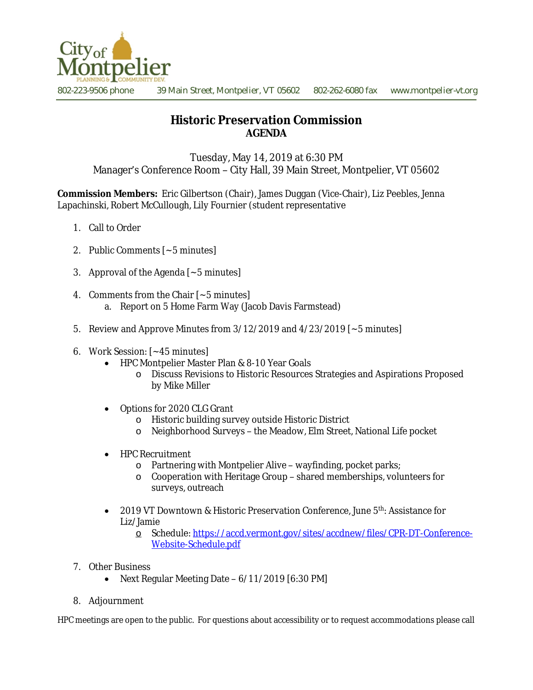

802-223-9506 phone 39 Main Street, Montpelier, VT 05602 802-262-6080 fax www.montpelier-vt.org

## **Historic Preservation Commission AGENDA**

Tuesday, May 14, 2019 at 6:30 PM Manager's Conference Room – City Hall, 39 Main Street, Montpelier, VT 05602

**Commission Members:** Eric Gilbertson (Chair), James Duggan (Vice-Chair), Liz Peebles, Jenna Lapachinski, Robert McCullough, Lily Fournier (student representative

- 1. Call to Order
- 2. Public Comments [~5 minutes]
- 3. Approval of the Agenda [~5 minutes]
- 4. Comments from the Chair [~5 minutes] a. Report on 5 Home Farm Way (Jacob Davis Farmstead)
- 5. Review and Approve Minutes from  $3/12/2019$  and  $4/23/2019$  [ $\sim$  5 minutes]
- 6. Work Session: [~45 minutes]
	- HPC Montpelier Master Plan & 8-10 Year Goals
		- o Discuss Revisions to Historic Resources Strategies and Aspirations Proposed by Mike Miller
	- Options for 2020 CLG Grant
		- o Historic building survey outside Historic District
		- o Neighborhood Surveys the Meadow, Elm Street, National Life pocket
	- HPC Recruitment
		- o Partnering with Montpelier Alive wayfinding, pocket parks;
		- o Cooperation with Heritage Group shared memberships, volunteers for surveys, outreach
	- 2019 VT Downtown & Historic Preservation Conference, June  $5<sup>th</sup>$ : Assistance for Liz/Jamie
		- o Schedule: [https://accd.vermont.gov/sites/accdnew/files/CPR-DT-Conference-](https://accd.vermont.gov/sites/accdnew/files/CPR-DT-Conference-Website-Schedule.pdf)Website-Schedule.pdf
- 7. Other Business
	- Next Regular Meeting Date 6/11/2019 [6:30 PM]
- 8. Adjournment

HPC meetings are open to the public. For questions about accessibility or to request accommodations please call